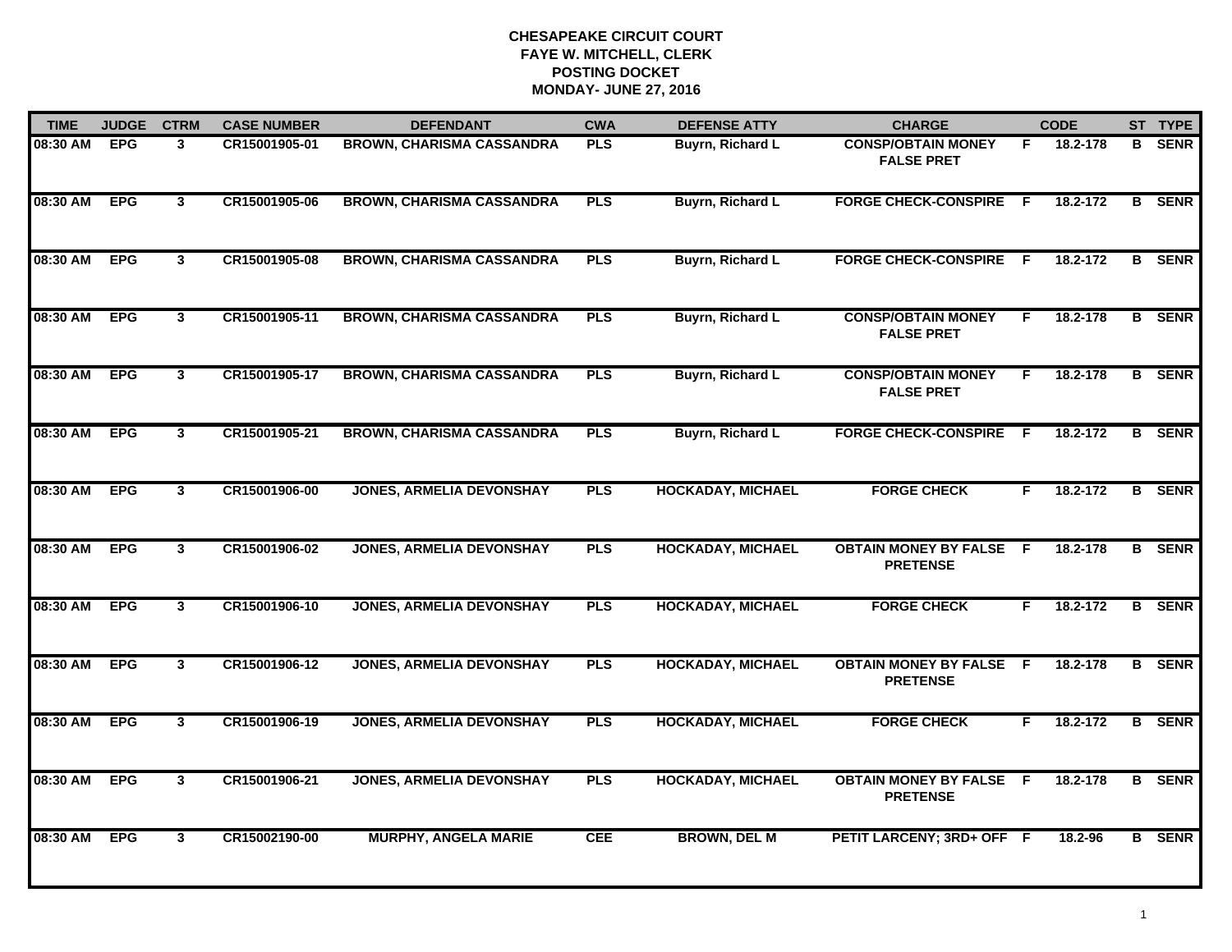| <b>TIME</b> | <b>JUDGE</b> | <b>CTRM</b>             | <b>CASE NUMBER</b> | <b>DEFENDANT</b>                 | <b>CWA</b> | <b>DEFENSE ATTY</b>      | <b>CHARGE</b>                                     |     | <b>CODE</b> |                | ST TYPE       |
|-------------|--------------|-------------------------|--------------------|----------------------------------|------------|--------------------------|---------------------------------------------------|-----|-------------|----------------|---------------|
| 08:30 AM    | <b>EPG</b>   | 3                       | CR15001905-01      | <b>BROWN, CHARISMA CASSANDRA</b> | <b>PLS</b> | <b>Buyrn, Richard L</b>  | <b>CONSP/OBTAIN MONEY</b><br><b>FALSE PRET</b>    | F.  | 18.2-178    | B.             | <b>SENR</b>   |
| 08:30 AM    | <b>EPG</b>   | $\mathbf{3}$            | CR15001905-06      | <b>BROWN, CHARISMA CASSANDRA</b> | <b>PLS</b> | <b>Buyrn, Richard L</b>  | <b>FORGE CHECK-CONSPIRE</b>                       | - F | 18.2-172    | B              | <b>SENR</b>   |
| 08:30 AM    | <b>EPG</b>   | $\overline{\mathbf{3}}$ | CR15001905-08      | <b>BROWN, CHARISMA CASSANDRA</b> | <b>PLS</b> | Buyrn, Richard L         | <b>FORGE CHECK-CONSPIRE</b>                       | - F | 18.2-172    |                | <b>B</b> SENR |
| 08:30 AM    | <b>EPG</b>   | $\mathbf{3}$            | CR15001905-11      | <b>BROWN, CHARISMA CASSANDRA</b> | <b>PLS</b> | Buyrn, Richard L         | <b>CONSP/OBTAIN MONEY</b><br><b>FALSE PRET</b>    | F.  | 18.2-178    |                | <b>B</b> SENR |
| 08:30 AM    | <b>EPG</b>   | $\mathbf{3}$            | CR15001905-17      | <b>BROWN, CHARISMA CASSANDRA</b> | <b>PLS</b> | <b>Buyrn, Richard L</b>  | <b>CONSP/OBTAIN MONEY</b><br><b>FALSE PRET</b>    | F.  | 18.2-178    |                | <b>B</b> SENR |
| 08:30 AM    | <b>EPG</b>   | $\mathbf{3}$            | CR15001905-21      | <b>BROWN, CHARISMA CASSANDRA</b> | <b>PLS</b> | Buyrn, Richard L         | <b>FORGE CHECK-CONSPIRE F</b>                     |     | 18.2-172    |                | <b>B</b> SENR |
| 08:30 AM    | <b>EPG</b>   | $\mathbf{3}$            | CR15001906-00      | <b>JONES, ARMELIA DEVONSHAY</b>  | <b>PLS</b> | <b>HOCKADAY, MICHAEL</b> | <b>FORGE CHECK</b>                                | F.  | 18.2-172    | $\overline{B}$ | <b>SENR</b>   |
| 08:30 AM    | <b>EPG</b>   | $3^{\circ}$             | CR15001906-02      | <b>JONES, ARMELIA DEVONSHAY</b>  | <b>PLS</b> | <b>HOCKADAY, MICHAEL</b> | <b>OBTAIN MONEY BY FALSE</b><br><b>PRETENSE</b>   | -F  | 18.2-178    |                | <b>B</b> SENR |
| 08:30 AM    | <b>EPG</b>   | $\mathbf{3}$            | CR15001906-10      | <b>JONES, ARMELIA DEVONSHAY</b>  | <b>PLS</b> | <b>HOCKADAY, MICHAEL</b> | <b>FORGE CHECK</b>                                | F.  | 18.2-172    |                | <b>B</b> SENR |
| 08:30 AM    | <b>EPG</b>   | $\mathbf{3}$            | CR15001906-12      | <b>JONES, ARMELIA DEVONSHAY</b>  | <b>PLS</b> | <b>HOCKADAY, MICHAEL</b> | <b>OBTAIN MONEY BY FALSE</b><br><b>PRETENSE</b>   | E   | 18.2-178    |                | <b>B</b> SENR |
| 08:30 AM    | <b>EPG</b>   | 3                       | CR15001906-19      | <b>JONES, ARMELIA DEVONSHAY</b>  | <b>PLS</b> | <b>HOCKADAY, MICHAEL</b> | <b>FORGE CHECK</b>                                | F.  | 18.2-172    |                | <b>B</b> SENR |
| 08:30 AM    | <b>EPG</b>   | $\mathbf{3}$            | CR15001906-21      | <b>JONES, ARMELIA DEVONSHAY</b>  | <b>PLS</b> | <b>HOCKADAY, MICHAEL</b> | <b>OBTAIN MONEY BY FALSE F</b><br><b>PRETENSE</b> |     | 18.2-178    |                | <b>B</b> SENR |
| 08:30 AM    | <b>EPG</b>   | $\mathbf{3}$            | CR15002190-00      | <b>MURPHY, ANGELA MARIE</b>      | <b>CEE</b> | <b>BROWN, DEL M</b>      | PETIT LARCENY; 3RD+ OFF F                         |     | 18.2-96     |                | <b>B</b> SENR |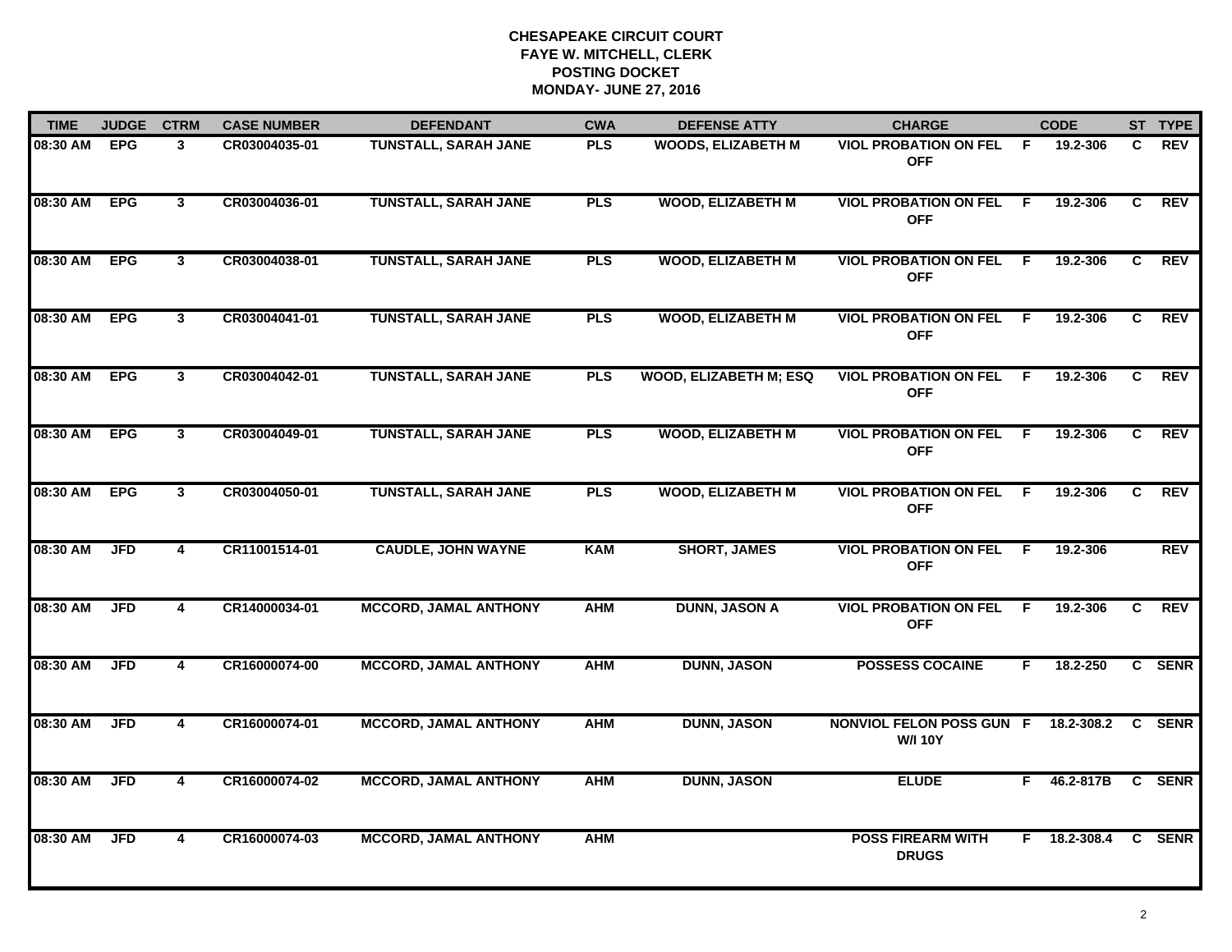| <b>TIME</b> | <b>JUDGE</b> | <b>CTRM</b>             | <b>CASE NUMBER</b> | <b>DEFENDANT</b>             | <b>CWA</b> | <b>DEFENSE ATTY</b>           | <b>CHARGE</b>                                         |                | <b>CODE</b>    |    | ST TYPE    |
|-------------|--------------|-------------------------|--------------------|------------------------------|------------|-------------------------------|-------------------------------------------------------|----------------|----------------|----|------------|
| 08:30 AM    | <b>EPG</b>   | 3                       | CR03004035-01      | TUNSTALL, SARAH JANE         | <b>PLS</b> | <b>WOODS, ELIZABETH M</b>     | <b>VIOL PROBATION ON FEL</b><br><b>OFF</b>            | -F.            | 19.2-306       | C  | <b>REV</b> |
| 08:30 AM    | <b>EPG</b>   | $\mathbf{3}$            | CR03004036-01      | <b>TUNSTALL, SARAH JANE</b>  | <b>PLS</b> | <b>WOOD, ELIZABETH M</b>      | <b>VIOL PROBATION ON FEL F</b><br><b>OFF</b>          |                | 19.2-306       | C  | <b>REV</b> |
| 08:30 AM    | <b>EPG</b>   | $\mathbf{3}$            | CR03004038-01      | <b>TUNSTALL, SARAH JANE</b>  | <b>PLS</b> | <b>WOOD, ELIZABETH M</b>      | <b>VIOL PROBATION ON FEL</b><br><b>OFF</b>            | - F            | 19.2-306       | C  | <b>REV</b> |
| 08:30 AM    | <b>EPG</b>   | 3                       | CR03004041-01      | <b>TUNSTALL, SARAH JANE</b>  | <b>PLS</b> | <b>WOOD, ELIZABETH M</b>      | <b>VIOL PROBATION ON FEL</b><br><b>OFF</b>            | F.             | 19.2-306       | C. | <b>REV</b> |
| 08:30 AM    | <b>EPG</b>   | $\mathbf{3}$            | CR03004042-01      | <b>TUNSTALL, SARAH JANE</b>  | <b>PLS</b> | <b>WOOD, ELIZABETH M; ESQ</b> | <b>VIOL PROBATION ON FEL</b><br><b>OFF</b>            | -F.            | 19.2-306       | C  | <b>REV</b> |
| 08:30 AM    | <b>EPG</b>   | $\mathbf{3}$            | CR03004049-01      | <b>TUNSTALL, SARAH JANE</b>  | <b>PLS</b> | <b>WOOD, ELIZABETH M</b>      | <b>VIOL PROBATION ON FEL</b><br><b>OFF</b>            | -F             | 19.2-306       | C  | <b>REV</b> |
| 08:30 AM    | <b>EPG</b>   | $\overline{\mathbf{3}}$ | CR03004050-01      | <b>TUNSTALL, SARAH JANE</b>  | <b>PLS</b> | <b>WOOD, ELIZABETH M</b>      | <b>VIOL PROBATION ON FEL</b><br><b>OFF</b>            | $\overline{F}$ | 19.2-306       | C  | REV        |
| 08:30 AM    | <b>JFD</b>   | 4                       | CR11001514-01      | <b>CAUDLE, JOHN WAYNE</b>    | <b>KAM</b> | <b>SHORT, JAMES</b>           | <b>VIOL PROBATION ON FEL</b><br><b>OFF</b>            | -F             | 19.2-306       |    | <b>REV</b> |
| 08:30 AM    | <b>JFD</b>   | 4                       | CR14000034-01      | <b>MCCORD, JAMAL ANTHONY</b> | <b>AHM</b> | <b>DUNN, JASON A</b>          | <b>VIOL PROBATION ON FEL</b><br><b>OFF</b>            | F.             | 19.2-306       | C  | <b>REV</b> |
| 08:30 AM    | <b>JFD</b>   | 4                       | CR16000074-00      | <b>MCCORD, JAMAL ANTHONY</b> | <b>AHM</b> | <b>DUNN, JASON</b>            | <b>POSSESS COCAINE</b>                                | F.             | 18.2-250       |    | C SENR     |
| 08:30 AM    | <b>JFD</b>   | 4                       | CR16000074-01      | <b>MCCORD, JAMAL ANTHONY</b> | <b>AHM</b> | <b>DUNN, JASON</b>            | NONVIOL FELON POSS GUN F 18.2-308.2<br><b>W/I 10Y</b> |                |                |    | C SENR     |
| 08:30 AM    | <b>JFD</b>   | $\overline{4}$          | CR16000074-02      | <b>MCCORD, JAMAL ANTHONY</b> | <b>AHM</b> | <b>DUNN, JASON</b>            | <b>ELUDE</b>                                          | F.             | 46.2-817B      |    | C SENR     |
| 08:30 AM    | <b>JFD</b>   | $\overline{\mathbf{4}}$ | CR16000074-03      | <b>MCCORD, JAMAL ANTHONY</b> | <b>AHM</b> |                               | <b>POSS FIREARM WITH</b><br><b>DRUGS</b>              |                | $F$ 18.2-308.4 |    | C SENR     |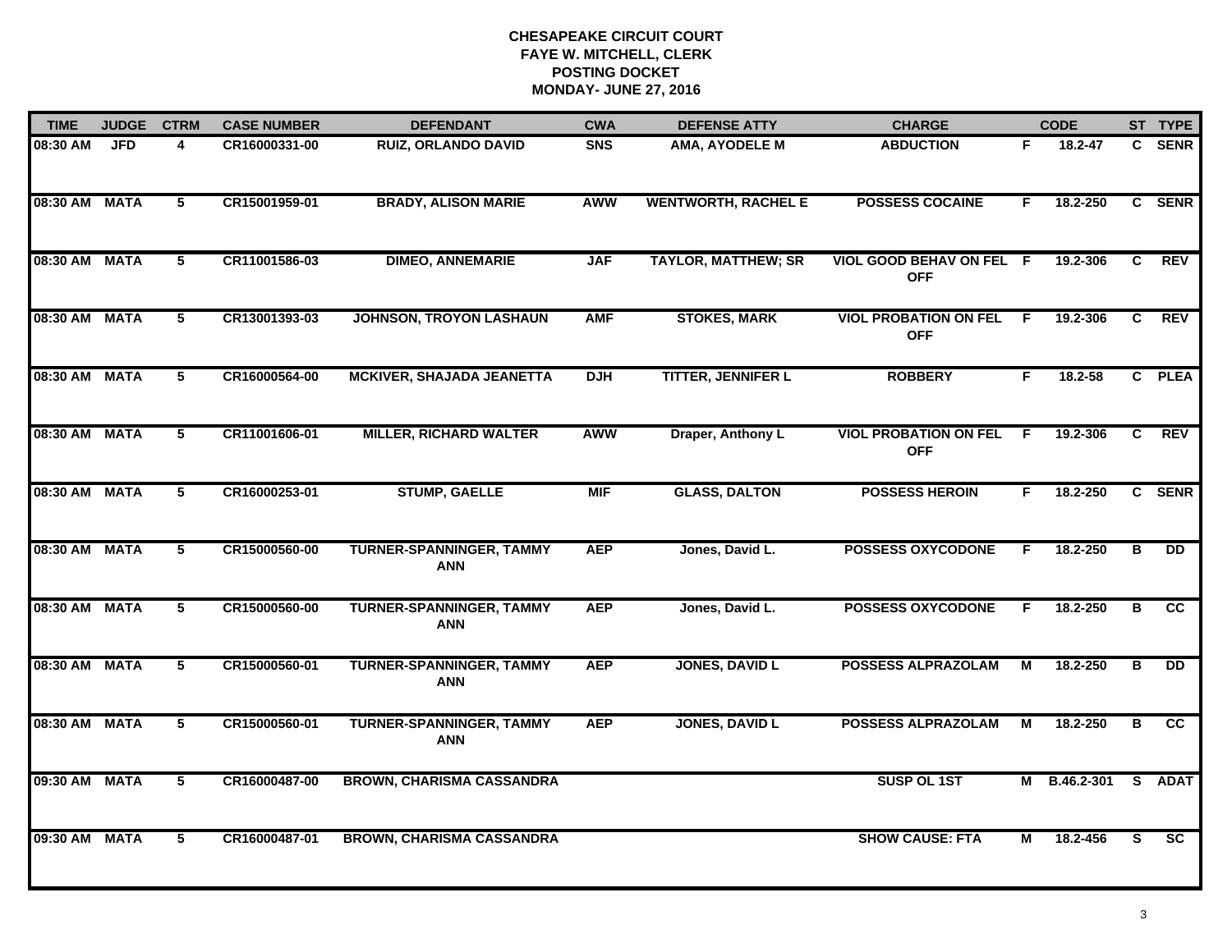| <b>TIME</b>   | <b>JUDGE</b> | <b>CTRM</b>     | <b>CASE NUMBER</b> | <b>DEFENDANT</b>                              | <b>CWA</b> | <b>DEFENSE ATTY</b>        | <b>CHARGE</b>                                |     | <b>CODE</b>  |    | ST TYPE         |
|---------------|--------------|-----------------|--------------------|-----------------------------------------------|------------|----------------------------|----------------------------------------------|-----|--------------|----|-----------------|
| 08:30 AM      | <b>JFD</b>   | 4               | CR16000331-00      | <b>RUIZ, ORLANDO DAVID</b>                    | <b>SNS</b> | AMA, AYODELE M             | <b>ABDUCTION</b>                             | F.  | 18.2-47      | C. | <b>SENR</b>     |
| 08:30 AM MATA |              | $5\phantom{.0}$ | CR15001959-01      | <b>BRADY, ALISON MARIE</b>                    | <b>AWW</b> | <b>WENTWORTH, RACHEL E</b> | <b>POSSESS COCAINE</b>                       | F.  | 18.2-250     |    | C SENR          |
| 08:30 AM MATA |              | 5               | CR11001586-03      | <b>DIMEO, ANNEMARIE</b>                       | <b>JAF</b> | <b>TAYLOR, MATTHEW; SR</b> | VIOL GOOD BEHAV ON FEL F<br><b>OFF</b>       |     | 19.2-306     | C  | <b>REV</b>      |
| 08:30 AM MATA |              | 5               | CR13001393-03      | <b>JOHNSON, TROYON LASHAUN</b>                | <b>AMF</b> | <b>STOKES, MARK</b>        | <b>VIOL PROBATION ON FEL</b><br><b>OFF</b>   | - F | 19.2-306     | C. | <b>REV</b>      |
| 08:30 AM MATA |              | 5               | CR16000564-00      | <b>MCKIVER, SHAJADA JEANETTA</b>              | <b>DJH</b> | <b>TITTER, JENNIFER L</b>  | <b>ROBBERY</b>                               | F.  | $18.2 - 58$  |    | C PLEA          |
| 08:30 AM MATA |              | 5               | CR11001606-01      | <b>MILLER, RICHARD WALTER</b>                 | <b>AWW</b> | Draper, Anthony L          | <b>VIOL PROBATION ON FEL F</b><br><b>OFF</b> |     | 19.2-306     | C  | <b>REV</b>      |
| 08:30 AM MATA |              | $\overline{5}$  | CR16000253-01      | <b>STUMP, GAELLE</b>                          | <b>MIF</b> | <b>GLASS, DALTON</b>       | <b>POSSESS HEROIN</b>                        | F.  | 18.2-250     |    | C SENR          |
| 08:30 AM MATA |              | 5               | CR15000560-00      | <b>TURNER-SPANNINGER, TAMMY</b><br><b>ANN</b> | <b>AEP</b> | Jones, David L.            | <b>POSSESS OXYCODONE</b>                     | F   | 18.2-250     | B  | $\overline{DD}$ |
| 08:30 AM MATA |              | 5               | CR15000560-00      | <b>TURNER-SPANNINGER, TAMMY</b><br><b>ANN</b> | <b>AEP</b> | Jones, David L.            | <b>POSSESS OXYCODONE</b>                     | F.  | 18.2-250     | в  | cc              |
| 08:30 AM MATA |              | 5               | CR15000560-01      | <b>TURNER-SPANNINGER, TAMMY</b><br><b>ANN</b> | <b>AEP</b> | <b>JONES, DAVID L</b>      | <b>POSSESS ALPRAZOLAM</b>                    | М   | 18.2-250     | В  | <b>DD</b>       |
| 08:30 AM MATA |              | 5               | CR15000560-01      | <b>TURNER-SPANNINGER, TAMMY</b><br><b>ANN</b> | <b>AEP</b> | <b>JONES, DAVID L</b>      | <b>POSSESS ALPRAZOLAM</b>                    | М   | 18.2-250     | в  | $\overline{cc}$ |
| 09:30 AM MATA |              | $\overline{5}$  | CR16000487-00      | <b>BROWN, CHARISMA CASSANDRA</b>              |            |                            | SUSP OL 1ST                                  |     | M B.46.2-301 |    | S ADAT          |
| 09:30 AM MATA |              | 5               | CR16000487-01      | <b>BROWN, CHARISMA CASSANDRA</b>              |            |                            | <b>SHOW CAUSE: FTA</b>                       | М   | 18.2-456     | S. | <b>SC</b>       |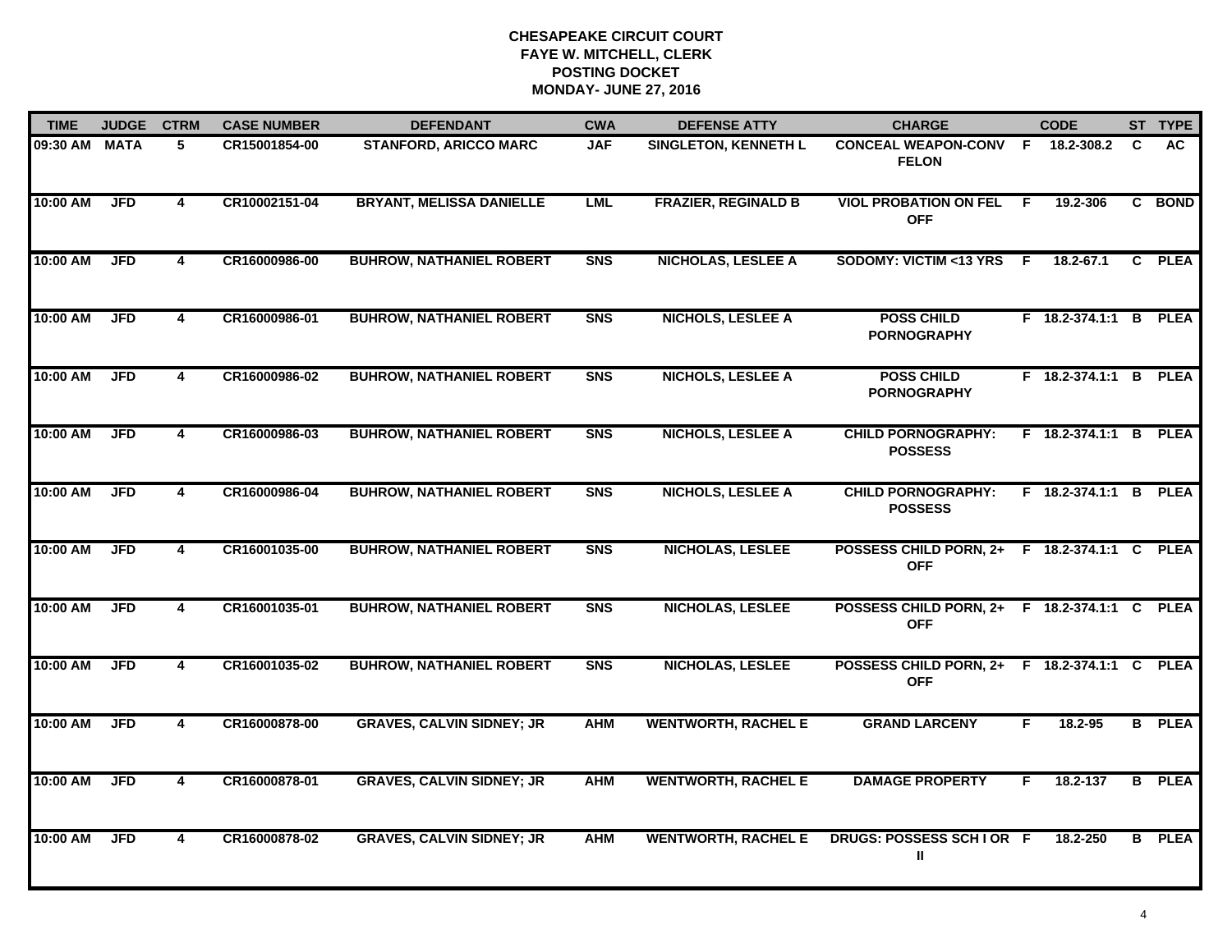| <b>TIME</b>   | <b>JUDGE</b> | <b>CTRM</b>             | <b>CASE NUMBER</b> | <b>DEFENDANT</b>                 | <b>CWA</b>     | <b>DEFENSE ATTY</b>         | <b>CHARGE</b>                                              |     | <b>CODE</b>           |   | ST TYPE       |
|---------------|--------------|-------------------------|--------------------|----------------------------------|----------------|-----------------------------|------------------------------------------------------------|-----|-----------------------|---|---------------|
| 09:30 AM MATA |              | 5                       | CR15001854-00      | <b>STANFORD, ARICCO MARC</b>     | <b>JAF</b>     | <b>SINGLETON, KENNETH L</b> | CONCEAL WEAPON-CONV F 18.2-308.2<br><b>FELON</b>           |     |                       | C | AC.           |
| 10:00 AM      | <b>JFD</b>   | $\overline{\mathbf{4}}$ | CR10002151-04      | <b>BRYANT, MELISSA DANIELLE</b>  | <b>LML</b>     | <b>FRAZIER, REGINALD B</b>  | <b>VIOL PROBATION ON FEL</b><br><b>OFF</b>                 | - F | 19.2-306              |   | C BOND        |
| 10:00 AM      | <b>JFD</b>   | 4                       | CR16000986-00      | <b>BUHROW, NATHANIEL ROBERT</b>  | <b>SNS</b>     | <b>NICHOLAS, LESLEE A</b>   | SODOMY: VICTIM <13 YRS                                     | -F  | 18.2-67.1             |   | C PLEA        |
| 10:00 AM      | <b>JFD</b>   | 4                       | CR16000986-01      | <b>BUHROW, NATHANIEL ROBERT</b>  | <b>SNS</b>     | <b>NICHOLS, LESLEE A</b>    | <b>POSS CHILD</b><br><b>PORNOGRAPHY</b>                    |     | F 18.2-374.1:1 B PLEA |   |               |
| 10:00 AM      | <b>JFD</b>   | $\overline{\mathbf{4}}$ | CR16000986-02      | <b>BUHROW, NATHANIEL ROBERT</b>  | S <sub>N</sub> | <b>NICHOLS, LESLEE A</b>    | <b>POSS CHILD</b><br><b>PORNOGRAPHY</b>                    |     | F 18.2-374.1:1 B PLEA |   |               |
| 10:00 AM      | <b>JFD</b>   | 4                       | CR16000986-03      | <b>BUHROW, NATHANIEL ROBERT</b>  | <b>SNS</b>     | <b>NICHOLS, LESLEE A</b>    | <b>CHILD PORNOGRAPHY:</b><br><b>POSSESS</b>                |     | F 18.2-374.1:1 B PLEA |   |               |
| 10:00 AM      | <b>JFD</b>   | $\overline{\mathbf{4}}$ | CR16000986-04      | <b>BUHROW, NATHANIEL ROBERT</b>  | <b>SNS</b>     | <b>NICHOLS, LESLEE A</b>    | <b>CHILD PORNOGRAPHY:</b><br><b>POSSESS</b>                |     | F 18.2-374.1:1 B PLEA |   |               |
| 10:00 AM      | <b>JFD</b>   | 4                       | CR16001035-00      | <b>BUHROW, NATHANIEL ROBERT</b>  | <b>SNS</b>     | <b>NICHOLAS, LESLEE</b>     | POSSESS CHILD PORN, 2+ F 18.2-374.1:1 C PLEA<br><b>OFF</b> |     |                       |   |               |
| 10:00 AM      | <b>JFD</b>   | 4                       | CR16001035-01      | <b>BUHROW, NATHANIEL ROBERT</b>  | <b>SNS</b>     | <b>NICHOLAS, LESLEE</b>     | POSSESS CHILD PORN, 2+ F 18.2-374.1:1 C PLEA<br><b>OFF</b> |     |                       |   |               |
| 10:00 AM      | <b>JFD</b>   | 4                       | CR16001035-02      | <b>BUHROW, NATHANIEL ROBERT</b>  | S <sub>N</sub> | <b>NICHOLAS, LESLEE</b>     | POSSESS CHILD PORN, 2+ F 18.2-374.1:1 C PLEA<br><b>OFF</b> |     |                       |   |               |
| 10:00 AM      | <b>JFD</b>   | 4                       | CR16000878-00      | <b>GRAVES, CALVIN SIDNEY; JR</b> | <b>AHM</b>     | <b>WENTWORTH, RACHEL E</b>  | <b>GRAND LARCENY</b>                                       | F.  | 18.2-95               |   | <b>B</b> PLEA |
| 10:00 AM      | <b>JFD</b>   | 4                       | CR16000878-01      | <b>GRAVES, CALVIN SIDNEY; JR</b> | <b>AHM</b>     | <b>WENTWORTH, RACHEL E</b>  | <b>DAMAGE PROPERTY</b>                                     | F   | 18.2-137              |   | <b>B</b> PLEA |
| 10:00 AM      | <b>JFD</b>   | 4                       | CR16000878-02      | <b>GRAVES, CALVIN SIDNEY; JR</b> | <b>AHM</b>     | <b>WENTWORTH, RACHEL E</b>  | DRUGS: POSSESS SCH I OR F<br>Ш                             |     | 18.2-250              |   | <b>B</b> PLEA |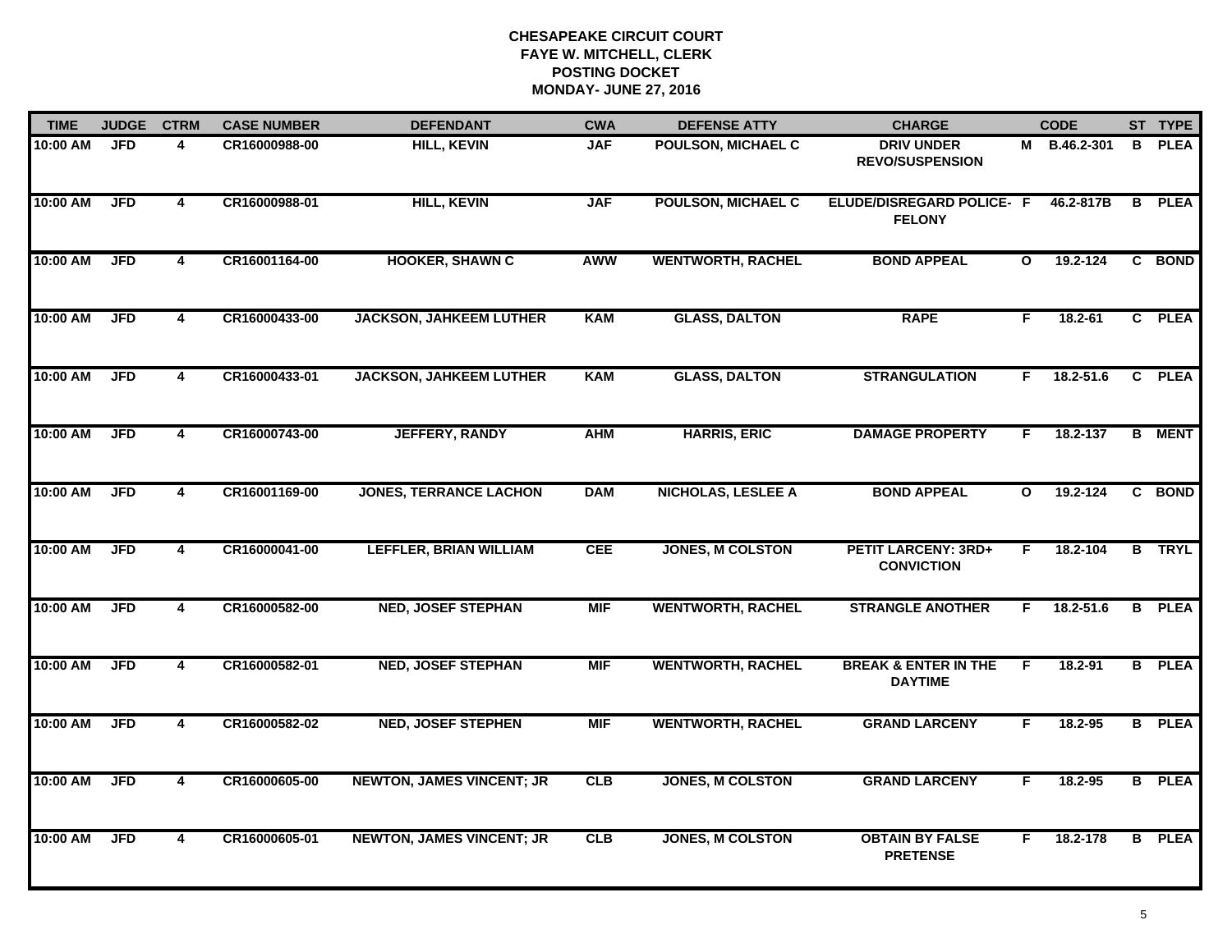| <b>TIME</b> | <b>JUDGE</b> | <b>CTRM</b>             | <b>CASE NUMBER</b> | <b>DEFENDANT</b>                 | <b>CWA</b> | <b>DEFENSE ATTY</b>       | <b>CHARGE</b>                                     |              | <b>CODE</b>  |    | ST TYPE       |
|-------------|--------------|-------------------------|--------------------|----------------------------------|------------|---------------------------|---------------------------------------------------|--------------|--------------|----|---------------|
| 10:00 AM    | <b>JFD</b>   | 4                       | CR16000988-00      | <b>HILL, KEVIN</b>               | <b>JAF</b> | <b>POULSON, MICHAEL C</b> | <b>DRIV UNDER</b><br><b>REVO/SUSPENSION</b>       |              | M B.46.2-301 | B. | <b>PLEA</b>   |
| 10:00 AM    | <b>JFD</b>   | 4                       | CR16000988-01      | <b>HILL, KEVIN</b>               | <b>JAF</b> | <b>POULSON, MICHAEL C</b> | <b>ELUDE/DISREGARD POLICE- F</b><br><b>FELONY</b> |              | 46.2-817B    |    | <b>B</b> PLEA |
| 10:00 AM    | <b>JFD</b>   | $\overline{\mathbf{4}}$ | CR16001164-00      | <b>HOOKER, SHAWN C</b>           | <b>AWW</b> | <b>WENTWORTH, RACHEL</b>  | <b>BOND APPEAL</b>                                | $\mathbf{o}$ | 19.2-124     |    | C BOND        |
| 10:00 AM    | <b>JFD</b>   | 4                       | CR16000433-00      | <b>JACKSON, JAHKEEM LUTHER</b>   | <b>KAM</b> | <b>GLASS, DALTON</b>      | <b>RAPE</b>                                       | F.           | $18.2 - 61$  |    | C PLEA        |
| 10:00 AM    | <b>JFD</b>   | 4                       | CR16000433-01      | <b>JACKSON, JAHKEEM LUTHER</b>   | <b>KAM</b> | <b>GLASS, DALTON</b>      | <b>STRANGULATION</b>                              | F.           | 18.2-51.6    |    | C PLEA        |
| 10:00 AM    | <b>JFD</b>   | $\overline{\mathbf{4}}$ | CR16000743-00      | <b>JEFFERY, RANDY</b>            | <b>AHM</b> | <b>HARRIS, ERIC</b>       | <b>DAMAGE PROPERTY</b>                            | F.           | 18.2-137     |    | <b>B</b> MENT |
| 10:00 AM    | <b>JFD</b>   | 4                       | CR16001169-00      | <b>JONES, TERRANCE LACHON</b>    | <b>DAM</b> | <b>NICHOLAS, LESLEE A</b> | <b>BOND APPEAL</b>                                | $\mathbf{o}$ | 19.2-124     |    | C BOND        |
| 10:00 AM    | <b>JFD</b>   | $\overline{\mathbf{4}}$ | CR16000041-00      | <b>LEFFLER, BRIAN WILLIAM</b>    | <b>CEE</b> | <b>JONES, M COLSTON</b>   | <b>PETIT LARCENY: 3RD+</b><br><b>CONVICTION</b>   | F.           | 18.2-104     |    | <b>B</b> TRYL |
| 10:00 AM    | <b>JFD</b>   | 4                       | CR16000582-00      | <b>NED, JOSEF STEPHAN</b>        | <b>MIF</b> | <b>WENTWORTH, RACHEL</b>  | <b>STRANGLE ANOTHER</b>                           | F.           | 18.2-51.6    |    | <b>B</b> PLEA |
| 10:00 AM    | <b>JFD</b>   | 4                       | CR16000582-01      | <b>NED, JOSEF STEPHAN</b>        | <b>MIF</b> | <b>WENTWORTH, RACHEL</b>  | <b>BREAK &amp; ENTER IN THE</b><br><b>DAYTIME</b> | F.           | $18.2 - 91$  |    | <b>B</b> PLEA |
| 10:00 AM    | <b>JFD</b>   | 4                       | CR16000582-02      | <b>NED, JOSEF STEPHEN</b>        | <b>MIF</b> | <b>WENTWORTH, RACHEL</b>  | <b>GRAND LARCENY</b>                              | F.           | 18.2-95      |    | <b>B</b> PLEA |
| 10:00 AM    | <b>JFD</b>   | $\overline{\mathbf{4}}$ | CR16000605-00      | <b>NEWTON, JAMES VINCENT; JR</b> | CLB        | <b>JONES, M COLSTON</b>   | <b>GRAND LARCENY</b>                              | F.           | 18.2-95      |    | <b>B</b> PLEA |
| 10:00 AM    | <b>JFD</b>   | $\overline{\mathbf{4}}$ | CR16000605-01      | <b>NEWTON, JAMES VINCENT; JR</b> | <b>CLB</b> | <b>JONES, M COLSTON</b>   | <b>OBTAIN BY FALSE</b><br><b>PRETENSE</b>         | F.           | 18.2-178     |    | <b>B</b> PLEA |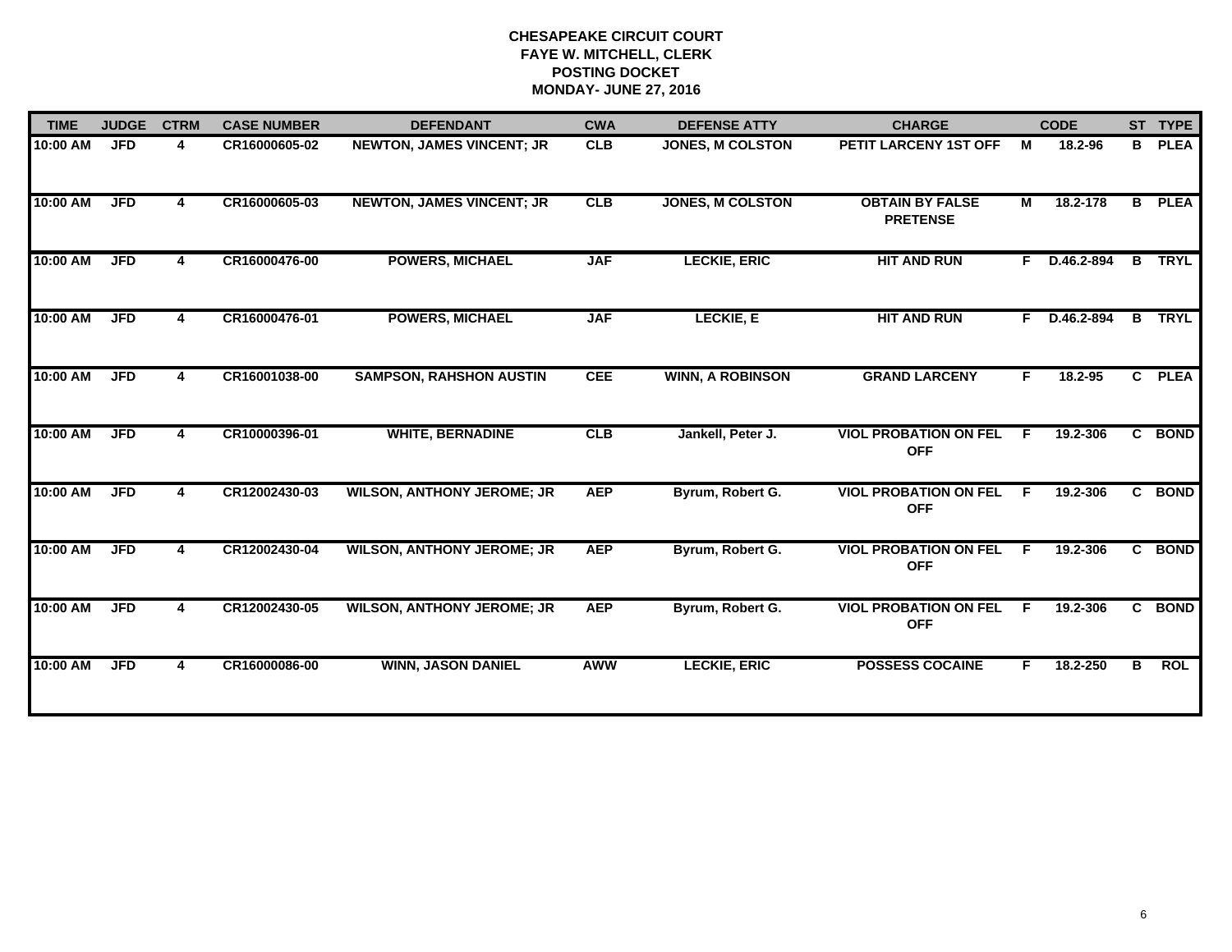| <b>TIME</b> | <b>JUDGE</b> | <b>CTRM</b> | <b>CASE NUMBER</b> | <b>DEFENDANT</b>                  | <b>CWA</b> | <b>DEFENSE ATTY</b>     | <b>CHARGE</b>                              |    | <b>CODE</b>  |              | ST TYPE       |
|-------------|--------------|-------------|--------------------|-----------------------------------|------------|-------------------------|--------------------------------------------|----|--------------|--------------|---------------|
| 10:00 AM    | <b>JFD</b>   | 4           | CR16000605-02      | <b>NEWTON, JAMES VINCENT; JR</b>  | <b>CLB</b> | JONES, M COLSTON        | PETIT LARCENY 1ST OFF                      | М  | 18.2-96      | B            | <b>PLEA</b>   |
| 10:00 AM    | <b>JFD</b>   | 4           | CR16000605-03      | <b>NEWTON, JAMES VINCENT; JR</b>  | CLB        | <b>JONES, M COLSTON</b> | <b>OBTAIN BY FALSE</b><br><b>PRETENSE</b>  | M  | 18.2-178     |              | <b>B</b> PLEA |
| 10:00 AM    | <b>JFD</b>   | 4           | CR16000476-00      | <b>POWERS, MICHAEL</b>            | <b>JAF</b> | <b>LECKIE, ERIC</b>     | <b>HIT AND RUN</b>                         | F. | D.46.2-894   | B            | <b>TRYL</b>   |
| 10:00 AM    | <b>JFD</b>   | 4           | CR16000476-01      | <b>POWERS, MICHAEL</b>            | <b>JAF</b> | <b>LECKIE, E</b>        | <b>HIT AND RUN</b>                         |    | F D.46.2-894 |              | <b>B</b> TRYL |
| 10:00 AM    | <b>JFD</b>   | 4           | CR16001038-00      | <b>SAMPSON, RAHSHON AUSTIN</b>    | <b>CEE</b> | <b>WINN, A ROBINSON</b> | <b>GRAND LARCENY</b>                       | F. | 18.2-95      | $\mathbf{c}$ | <b>PLEA</b>   |
| 10:00 AM    | <b>JFD</b>   | 4           | CR10000396-01      | <b>WHITE, BERNADINE</b>           | CLB        | Jankell, Peter J.       | <b>VIOL PROBATION ON FEL</b><br><b>OFF</b> | F  | 19.2-306     | $\mathbf{c}$ | <b>BOND</b>   |
| 10:00 AM    | <b>JFD</b>   | 4           | CR12002430-03      | <b>WILSON, ANTHONY JEROME; JR</b> | <b>AEP</b> | Byrum, Robert G.        | <b>VIOL PROBATION ON FEL</b><br><b>OFF</b> | F  | 19.2-306     | C.           | <b>BOND</b>   |
| 10:00 AM    | <b>JFD</b>   | 4           | CR12002430-04      | <b>WILSON, ANTHONY JEROME; JR</b> | <b>AEP</b> | Byrum, Robert G.        | <b>VIOL PROBATION ON FEL</b><br><b>OFF</b> | E  | 19.2-306     | C.           | <b>BOND</b>   |
| 10:00 AM    | <b>JFD</b>   | 4           | CR12002430-05      | <b>WILSON, ANTHONY JEROME; JR</b> | <b>AEP</b> | Byrum, Robert G.        | <b>VIOL PROBATION ON FEL</b><br><b>OFF</b> | F  | 19.2-306     |              | C BOND        |
| 10:00 AM    | <b>JFD</b>   | 4           | CR16000086-00      | <b>WINN, JASON DANIEL</b>         | <b>AWW</b> | <b>LECKIE, ERIC</b>     | <b>POSSESS COCAINE</b>                     | F. | 18.2-250     | B            | <b>ROL</b>    |